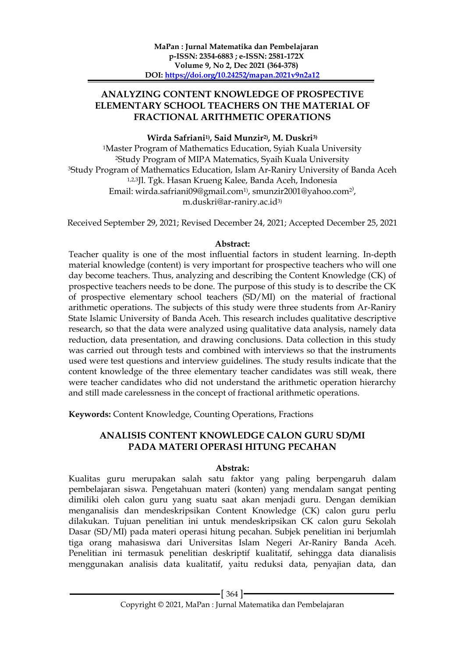## **ANALYZING CONTENT KNOWLEDGE OF PROSPECTIVE ELEMENTARY SCHOOL TEACHERS ON THE MATERIAL OF FRACTIONAL ARITHMETIC OPERATIONS**

**Wirda Safriani1) , Said Munzir2) , M. Duskri3)**

<sup>1</sup>Master Program of Mathematics Education, Syiah Kuala University <sup>2</sup>Study Program of MIPA Matematics, Syaih Kuala University <sup>3</sup>Study Program of Mathematics Education, Islam Ar-Raniry University of Banda Aceh 1,2,3Jl. Tgk. Hasan Krueng Kalee, Banda Aceh, Indonesia Email: wirda.safriani09@gmail.com<sup>1)</sup>, smunzir2001@yahoo.com<sup>2</sup><sup>)</sup>, m.duskri@ar-raniry.ac.id3)

Received September 29, 2021; Revised December 24, 2021; Accepted December 25, 2021

#### **Abstract:**

Teacher quality is one of the most influential factors in student learning. In-depth material knowledge (content) is very important for prospective teachers who will one day become teachers. Thus, analyzing and describing the Content Knowledge (CK) of prospective teachers needs to be done. The purpose of this study is to describe the CK of prospective elementary school teachers (SD/MI) on the material of fractional arithmetic operations. The subjects of this study were three students from Ar-Raniry State Islamic University of Banda Aceh. This research includes qualitative descriptive research, so that the data were analyzed using qualitative data analysis, namely data reduction, data presentation, and drawing conclusions. Data collection in this study was carried out through tests and combined with interviews so that the instruments used were test questions and interview guidelines. The study results indicate that the content knowledge of the three elementary teacher candidates was still weak, there were teacher candidates who did not understand the arithmetic operation hierarchy and still made carelessness in the concept of fractional arithmetic operations.

**Keywords:** Content Knowledge, Counting Operations, Fractions

## **ANALISIS CONTENT KNOWLEDGE CALON GURU SD/MI PADA MATERI OPERASI HITUNG PECAHAN**

### **Abstrak:**

Kualitas guru merupakan salah satu faktor yang paling berpengaruh dalam pembelajaran siswa. Pengetahuan materi (konten) yang mendalam sangat penting dimiliki oleh calon guru yang suatu saat akan menjadi guru. Dengan demikian menganalisis dan mendeskripsikan Content Knowledge (CK) calon guru perlu dilakukan. Tujuan penelitian ini untuk mendeskripsikan CK calon guru Sekolah Dasar (SD/MI) pada materi operasi hitung pecahan. Subjek penelitian ini berjumlah tiga orang mahasiswa dari Universitas Islam Negeri Ar-Raniry Banda Aceh. Penelitian ini termasuk penelitian deskriptif kualitatif, sehingga data dianalisis menggunakan analisis data kualitatif, yaitu reduksi data, penyajian data, dan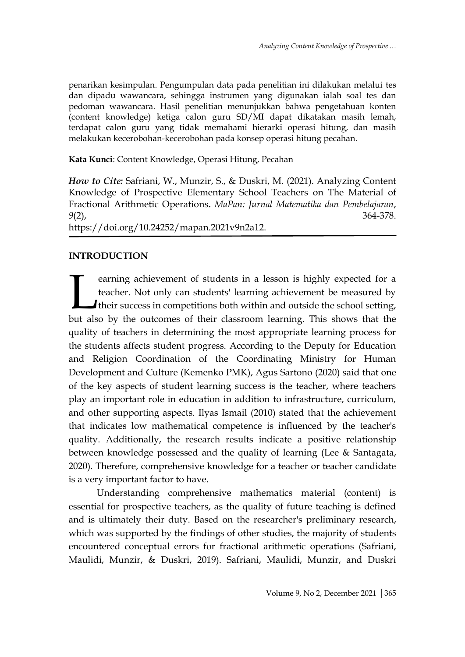penarikan kesimpulan. Pengumpulan data pada penelitian ini dilakukan melalui tes dan dipadu wawancara, sehingga instrumen yang digunakan ialah soal tes dan pedoman wawancara. Hasil penelitian menunjukkan bahwa pengetahuan konten (content knowledge) ketiga calon guru SD/MI dapat dikatakan masih lemah, terdapat calon guru yang tidak memahami hierarki operasi hitung, dan masih melakukan kecerobohan-kecerobohan pada konsep operasi hitung pecahan.

**Kata Kunci**: Content Knowledge, Operasi Hitung, Pecahan

*How to Cite:* Safriani, W., Munzir, S., & Duskri, M. (2021). Analyzing Content Knowledge of Prospective Elementary School Teachers on The Material of Fractional Arithmetic Operations**.** *MaPan: Jurnal Matematika dan Pembelajaran*, *9*(2), 364-378.

https://doi.org/10.24252/mapan.2021v9n2a12.

# **INTRODUCTION**

earning achievement of students in a lesson is highly expected for a teacher. Not only can students' learning achievement be measured by I their success in competitions both within and outside the school setting, earning achievement of students in a lesson is highly expected for a teacher. Not only can students' learning achievement be measured by their success in competitions both within and outside the school setting, but also by quality of teachers in determining the most appropriate learning process for the students affects student progress. According to the Deputy for Education and Religion Coordination of the Coordinating Ministry for Human Development and Culture (Kemenko PMK), Agus Sartono (2020) said that one of the key aspects of student learning success is the teacher, where teachers play an important role in education in addition to infrastructure, curriculum, and other supporting aspects. Ilyas Ismail (2010) stated that the achievement that indicates low mathematical competence is influenced by the teacher's quality. Additionally, the research results indicate a positive relationship between knowledge possessed and the quality of learning (Lee & Santagata, 2020). Therefore, comprehensive knowledge for a teacher or teacher candidate is a very important factor to have.

Understanding comprehensive mathematics material (content) is essential for prospective teachers, as the quality of future teaching is defined and is ultimately their duty. Based on the researcher's preliminary research, which was supported by the findings of other studies, the majority of students encountered conceptual errors for fractional arithmetic operations (Safriani, Maulidi, Munzir, & Duskri, 2019). Safriani, Maulidi, Munzir, and Duskri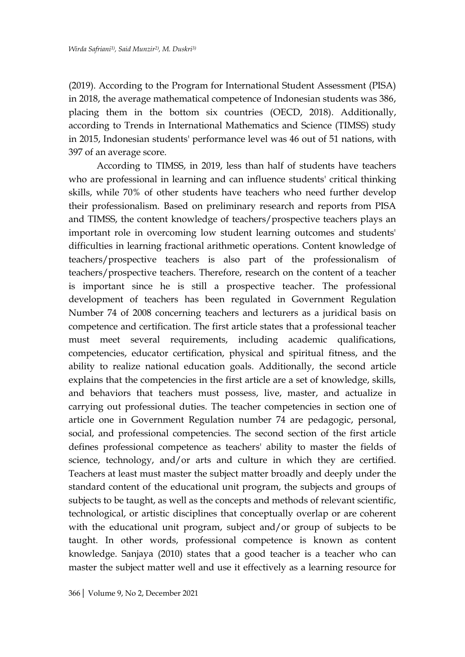(2019). According to the Program for International Student Assessment (PISA) in 2018, the average mathematical competence of Indonesian students was 386, placing them in the bottom six countries (OECD, 2018). Additionally, according to Trends in International Mathematics and Science (TIMSS) study in 2015, Indonesian students' performance level was 46 out of 51 nations, with 397 of an average score.

According to TIMSS, in 2019, less than half of students have teachers who are professional in learning and can influence students' critical thinking skills, while 70% of other students have teachers who need further develop their professionalism. Based on preliminary research and reports from PISA and TIMSS, the content knowledge of teachers/prospective teachers plays an important role in overcoming low student learning outcomes and students' difficulties in learning fractional arithmetic operations. Content knowledge of teachers/prospective teachers is also part of the professionalism of teachers/prospective teachers. Therefore, research on the content of a teacher is important since he is still a prospective teacher. The professional development of teachers has been regulated in Government Regulation Number 74 of 2008 concerning teachers and lecturers as a juridical basis on competence and certification. The first article states that a professional teacher must meet several requirements, including academic qualifications, competencies, educator certification, physical and spiritual fitness, and the ability to realize national education goals. Additionally, the second article explains that the competencies in the first article are a set of knowledge, skills, and behaviors that teachers must possess, live, master, and actualize in carrying out professional duties. The teacher competencies in section one of article one in Government Regulation number 74 are pedagogic, personal, social, and professional competencies. The second section of the first article defines professional competence as teachers' ability to master the fields of science, technology, and/or arts and culture in which they are certified. Teachers at least must master the subject matter broadly and deeply under the standard content of the educational unit program, the subjects and groups of subjects to be taught, as well as the concepts and methods of relevant scientific, technological, or artistic disciplines that conceptually overlap or are coherent with the educational unit program, subject and/or group of subjects to be taught. In other words, professional competence is known as content knowledge. Sanjaya (2010) states that a good teacher is a teacher who can master the subject matter well and use it effectively as a learning resource for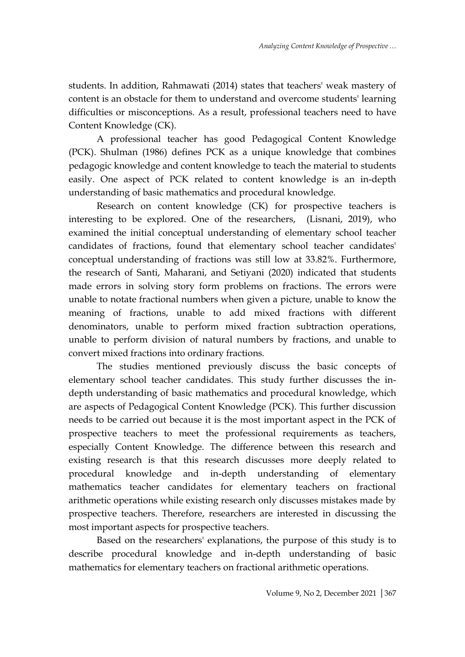students. In addition, Rahmawati (2014) states that teachers' weak mastery of content is an obstacle for them to understand and overcome students' learning difficulties or misconceptions. As a result, professional teachers need to have Content Knowledge (CK).

A professional teacher has good Pedagogical Content Knowledge (PCK). Shulman (1986) defines PCK as a unique knowledge that combines pedagogic knowledge and content knowledge to teach the material to students easily. One aspect of PCK related to content knowledge is an in-depth understanding of basic mathematics and procedural knowledge.

Research on content knowledge (CK) for prospective teachers is interesting to be explored. One of the researchers, (Lisnani, 2019), who examined the initial conceptual understanding of elementary school teacher candidates of fractions, found that elementary school teacher candidates' conceptual understanding of fractions was still low at 33.82%. Furthermore, the research of Santi, Maharani, and Setiyani (2020) indicated that students made errors in solving story form problems on fractions. The errors were unable to notate fractional numbers when given a picture, unable to know the meaning of fractions, unable to add mixed fractions with different denominators, unable to perform mixed fraction subtraction operations, unable to perform division of natural numbers by fractions, and unable to convert mixed fractions into ordinary fractions.

The studies mentioned previously discuss the basic concepts of elementary school teacher candidates. This study further discusses the indepth understanding of basic mathematics and procedural knowledge, which are aspects of Pedagogical Content Knowledge (PCK). This further discussion needs to be carried out because it is the most important aspect in the PCK of prospective teachers to meet the professional requirements as teachers, especially Content Knowledge. The difference between this research and existing research is that this research discusses more deeply related to procedural knowledge and in-depth understanding of elementary mathematics teacher candidates for elementary teachers on fractional arithmetic operations while existing research only discusses mistakes made by prospective teachers. Therefore, researchers are interested in discussing the most important aspects for prospective teachers.

Based on the researchers' explanations, the purpose of this study is to describe procedural knowledge and in-depth understanding of basic mathematics for elementary teachers on fractional arithmetic operations.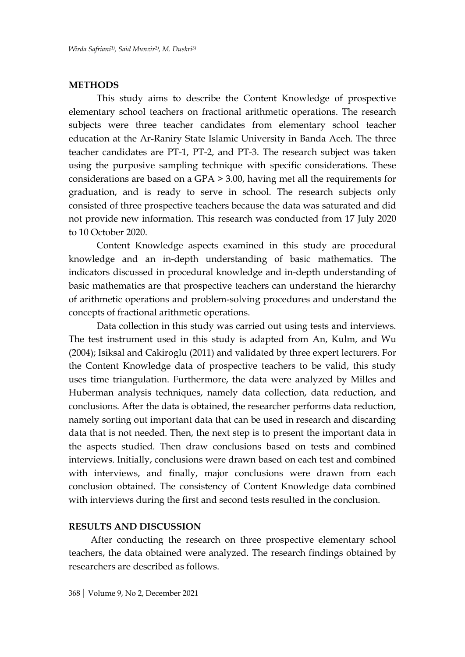#### **METHODS**

This study aims to describe the Content Knowledge of prospective elementary school teachers on fractional arithmetic operations. The research subjects were three teacher candidates from elementary school teacher education at the Ar-Raniry State Islamic University in Banda Aceh. The three teacher candidates are PT-1, PT-2, and PT-3. The research subject was taken using the purposive sampling technique with specific considerations. These considerations are based on a GPA > 3.00, having met all the requirements for graduation, and is ready to serve in school. The research subjects only consisted of three prospective teachers because the data was saturated and did not provide new information. This research was conducted from 17 July 2020 to 10 October 2020.

Content Knowledge aspects examined in this study are procedural knowledge and an in-depth understanding of basic mathematics. The indicators discussed in procedural knowledge and in-depth understanding of basic mathematics are that prospective teachers can understand the hierarchy of arithmetic operations and problem-solving procedures and understand the concepts of fractional arithmetic operations.

Data collection in this study was carried out using tests and interviews. The test instrument used in this study is adapted from An, Kulm, and Wu (2004); Isiksal and Cakiroglu (2011) and validated by three expert lecturers. For the Content Knowledge data of prospective teachers to be valid, this study uses time triangulation. Furthermore, the data were analyzed by Milles and Huberman analysis techniques, namely data collection, data reduction, and conclusions. After the data is obtained, the researcher performs data reduction, namely sorting out important data that can be used in research and discarding data that is not needed. Then, the next step is to present the important data in the aspects studied. Then draw conclusions based on tests and combined interviews. Initially, conclusions were drawn based on each test and combined with interviews, and finally, major conclusions were drawn from each conclusion obtained. The consistency of Content Knowledge data combined with interviews during the first and second tests resulted in the conclusion.

### **RESULTS AND DISCUSSION**

After conducting the research on three prospective elementary school teachers, the data obtained were analyzed. The research findings obtained by researchers are described as follows.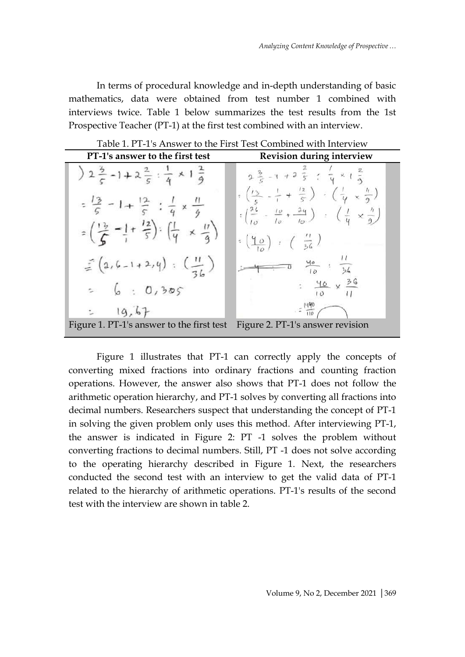In terms of procedural knowledge and in-depth understanding of basic mathematics, data were obtained from test number 1 combined with interviews twice. Table 1 below summarizes the test results from the 1st Prospective Teacher (PT-1) at the first test combined with an interview.

| PT-1's answer to the first test                                                                                                                                                         | <b>Revision during interview</b>                                                                                                                                                                                                                                                      |
|-----------------------------------------------------------------------------------------------------------------------------------------------------------------------------------------|---------------------------------------------------------------------------------------------------------------------------------------------------------------------------------------------------------------------------------------------------------------------------------------|
| $2\frac{3}{5}-1+2\frac{2}{5}:\frac{1}{4}\times1\frac{2}{9}$                                                                                                                             | $2\frac{3}{5} - 1 + 2\frac{2}{5}$ ; $\frac{7}{9} \times 1\frac{2}{9}$                                                                                                                                                                                                                 |
| $=\frac{13}{5}-1+\frac{12}{5}$ $\frac{1}{4} \times \frac{11}{9}$<br>$=\left(\frac{1}{6} \frac{1}{2} - \frac{1}{1} + \frac{12}{5}\right) : \left(\frac{1}{4} \times \frac{17}{3}\right)$ | $\frac{1}{3}$ $\left(\frac{13}{5} - \frac{1}{1} + \frac{12}{5}\right)$ $\cdot \left(\frac{1}{4} + \frac{1}{9}\right)$<br>$\frac{1}{2} \left( \frac{24}{10} - \frac{10}{10} + \frac{24}{10} \right)$ $\left( \frac{1}{4} \times \frac{1}{2} \right)$<br>$\frac{10}{10}$ $\frac{1}{26}$ |
| $\leq (2,6-1+2,4): \left(\frac{11}{36}\right)$                                                                                                                                          | $\frac{40}{10}$ : $\frac{1}{36}$                                                                                                                                                                                                                                                      |
| $= 6 : 0,305$                                                                                                                                                                           | $\frac{46}{10} \times \frac{36}{11}$                                                                                                                                                                                                                                                  |
| $= 19.67$                                                                                                                                                                               |                                                                                                                                                                                                                                                                                       |
| Figure 1. PT-1's answer to the first test                                                                                                                                               | Figure 2. PT-1's answer revision                                                                                                                                                                                                                                                      |

Table 1. PT-1's Answer to the First Test Combined with Interview

Figure 1 illustrates that PT-1 can correctly apply the concepts of converting mixed fractions into ordinary fractions and counting fraction operations. However, the answer also shows that PT-1 does not follow the arithmetic operation hierarchy, and PT-1 solves by converting all fractions into decimal numbers. Researchers suspect that understanding the concept of PT-1 in solving the given problem only uses this method. After interviewing PT-1, the answer is indicated in Figure 2: PT -1 solves the problem without converting fractions to decimal numbers. Still, PT -1 does not solve according to the operating hierarchy described in Figure 1. Next, the researchers conducted the second test with an interview to get the valid data of PT-1 related to the hierarchy of arithmetic operations. PT-1's results of the second test with the interview are shown in table 2.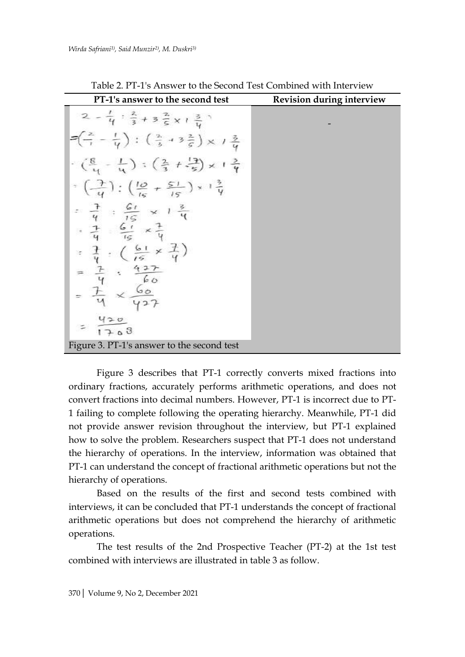| PT-1's answer to the second test                                                                                                                                                                                                                                                                                                                                                                                                                                                                                                                                                  | <b>Revision during interview</b> |
|-----------------------------------------------------------------------------------------------------------------------------------------------------------------------------------------------------------------------------------------------------------------------------------------------------------------------------------------------------------------------------------------------------------------------------------------------------------------------------------------------------------------------------------------------------------------------------------|----------------------------------|
| $2-\frac{1}{4}:\frac{2}{3}+3\frac{2}{5}x+\frac{3}{4}$<br>$P\left(\frac{2}{7} - \frac{1}{4}\right) : \left(\frac{2}{3} + 3\frac{2}{5}\right) \times 1\frac{3}{4}$<br>$\frac{1}{2}$ ( $\frac{8}{4}$ - $\frac{1}{4}$ ) ; $\left(\frac{2}{3} + \frac{13}{5}\right) \times 1\frac{3}{4}$<br>$\frac{1}{4}$ = $\left(\frac{7}{4}\right)$ = $\left(\frac{10}{15} + \frac{51}{15}\right) \times 1\frac{3}{4}$<br>: $\frac{1}{4}$ : $\frac{61}{15}$ x 1 $\frac{3}{4}$<br>$\frac{1}{4}$ $\frac{61}{15}$ x<br>$\times \frac{1}{u}$<br>$\frac{1}{4}$ : (<br>$=\frac{7}{4}$<br>$\frac{4+1}{60}$ |                                  |
|                                                                                                                                                                                                                                                                                                                                                                                                                                                                                                                                                                                   |                                  |
| 202                                                                                                                                                                                                                                                                                                                                                                                                                                                                                                                                                                               |                                  |
| Figure 3. PT-1's answer to the second test                                                                                                                                                                                                                                                                                                                                                                                                                                                                                                                                        |                                  |

Table 2. PT-1's Answer to the Second Test Combined with Interview

Figure 3 describes that PT-1 correctly converts mixed fractions into ordinary fractions, accurately performs arithmetic operations, and does not convert fractions into decimal numbers. However, PT-1 is incorrect due to PT-1 failing to complete following the operating hierarchy. Meanwhile, PT-1 did not provide answer revision throughout the interview, but PT-1 explained how to solve the problem. Researchers suspect that PT-1 does not understand the hierarchy of operations. In the interview, information was obtained that PT-1 can understand the concept of fractional arithmetic operations but not the hierarchy of operations.

Based on the results of the first and second tests combined with interviews, it can be concluded that PT-1 understands the concept of fractional arithmetic operations but does not comprehend the hierarchy of arithmetic operations.

The test results of the 2nd Prospective Teacher (PT-2) at the 1st test combined with interviews are illustrated in table 3 as follow.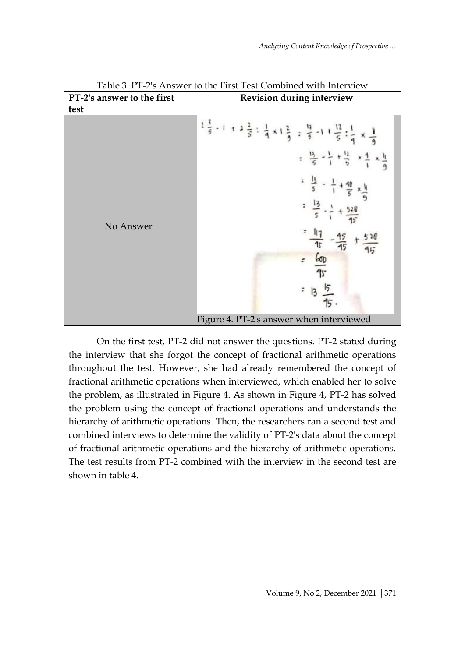

Table 3. PT-2's Answer to the First Test Combined with Interview **PT-2's answer to the first Revision during interview**

On the first test, PT-2 did not answer the questions. PT-2 stated during the interview that she forgot the concept of fractional arithmetic operations throughout the test. However, she had already remembered the concept of fractional arithmetic operations when interviewed, which enabled her to solve the problem, as illustrated in Figure 4. As shown in Figure 4, PT-2 has solved the problem using the concept of fractional operations and understands the hierarchy of arithmetic operations. Then, the researchers ran a second test and combined interviews to determine the validity of PT-2's data about the concept of fractional arithmetic operations and the hierarchy of arithmetic operations. The test results from PT-2 combined with the interview in the second test are shown in table 4.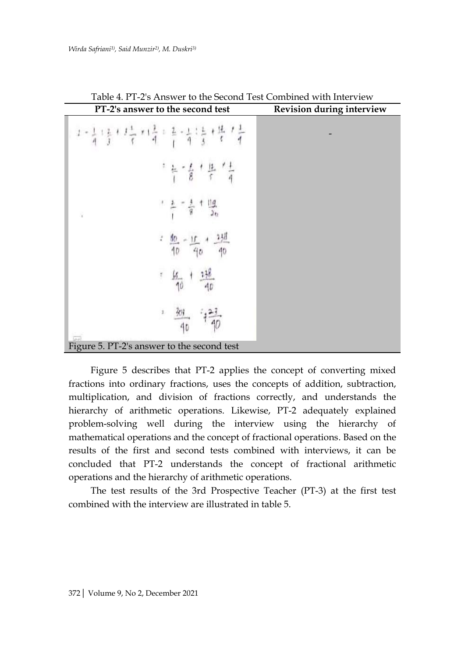| $\frac{1}{4}$<br>i,<br>I, | PT-2's answer to the second test           | Revision during interview |
|---------------------------|--------------------------------------------|---------------------------|
|                           |                                            |                           |
|                           |                                            |                           |
|                           |                                            |                           |
|                           |                                            |                           |
|                           |                                            |                           |
|                           |                                            |                           |
|                           | Figure 5. PT-2's answer to the second test |                           |

Table 4. PT-2's Answer to the Second Test Combined with Interview

Figure 5 describes that PT-2 applies the concept of converting mixed fractions into ordinary fractions, uses the concepts of addition, subtraction, multiplication, and division of fractions correctly, and understands the hierarchy of arithmetic operations. Likewise, PT-2 adequately explained problem-solving well during the interview using the hierarchy of mathematical operations and the concept of fractional operations. Based on the results of the first and second tests combined with interviews, it can be concluded that PT-2 understands the concept of fractional arithmetic operations and the hierarchy of arithmetic operations.

The test results of the 3rd Prospective Teacher (PT-3) at the first test combined with the interview are illustrated in table 5.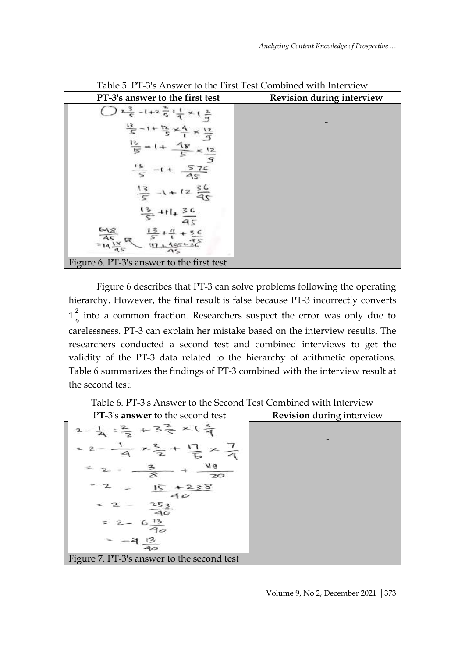| PT-3's answer to the first test           | Revision during interview |
|-------------------------------------------|---------------------------|
|                                           |                           |
|                                           |                           |
| 618                                       |                           |
| Figure 6. PT-3's answer to the first test |                           |

Table 5. PT-3's Answer to the First Test Combined with Interview

Figure 6 describes that PT-3 can solve problems following the operating hierarchy. However, the final result is false because PT-3 incorrectly converts  $1\frac{2}{9}$  $\frac{2}{9}$  into a common fraction. Researchers suspect the error was only due to carelessness. PT-3 can explain her mistake based on the interview results. The researchers conducted a second test and combined interviews to get the validity of the PT-3 data related to the hierarchy of arithmetic operations. Table 6 summarizes the findings of PT-3 combined with the interview result at the second test.

Table 6. PT-3's Answer to the Second Test Combined with Interview

| PT-3's answer to the second test                                     | <b>Revision</b> during interview |
|----------------------------------------------------------------------|----------------------------------|
| $-\frac{1}{4}$ : $\frac{2}{3}$ + 3 $\frac{2}{5}$ × ( $\frac{3}{4}$ ) |                                  |
| $-x\frac{3}{2} + \frac{11}{15}$                                      |                                  |
| 119<br>$\overline{20}$                                               |                                  |
| 238                                                                  |                                  |
| $\frac{253}{40}$                                                     |                                  |
|                                                                      |                                  |
|                                                                      |                                  |
| Figure 7. PT-3's answer to the second test                           |                                  |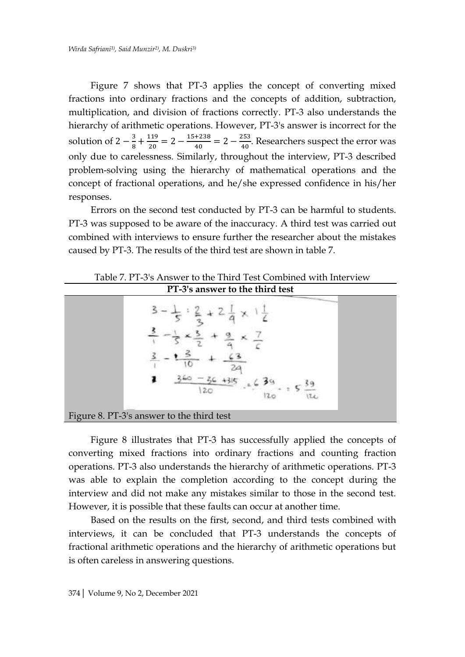Figure 7 shows that PT-3 applies the concept of converting mixed fractions into ordinary fractions and the concepts of addition, subtraction, multiplication, and division of fractions correctly. PT-3 also understands the hierarchy of arithmetic operations. However, PT-3's answer is incorrect for the solution of  $2-\frac{3}{8}$  $\frac{3}{8} + \frac{1}{2}$  $\frac{119}{20}$  = 2 -  $\frac{1}{2}$  $\frac{+238}{40} = 2 - \frac{2}{4}$  $\frac{255}{40}$ . Researchers suspect the error was only due to carelessness. Similarly, throughout the interview, PT-3 described problem-solving using the hierarchy of mathematical operations and the concept of fractional operations, and he/she expressed confidence in his/her responses.

Errors on the second test conducted by PT-3 can be harmful to students. PT-3 was supposed to be aware of the inaccuracy. A third test was carried out combined with interviews to ensure further the researcher about the mistakes caused by PT-3. The results of the third test are shown in table 7.

| PT-3's answer to the third test           |
|-------------------------------------------|
| 20                                        |
| Figure 8. PT-3's answer to the third test |

Table 7. PT-3's Answer to the Third Test Combined with Interview

Figure 8 illustrates that PT-3 has successfully applied the concepts of converting mixed fractions into ordinary fractions and counting fraction operations. PT-3 also understands the hierarchy of arithmetic operations. PT-3 was able to explain the completion according to the concept during the interview and did not make any mistakes similar to those in the second test. However, it is possible that these faults can occur at another time.

Based on the results on the first, second, and third tests combined with interviews, it can be concluded that PT-3 understands the concepts of fractional arithmetic operations and the hierarchy of arithmetic operations but is often careless in answering questions.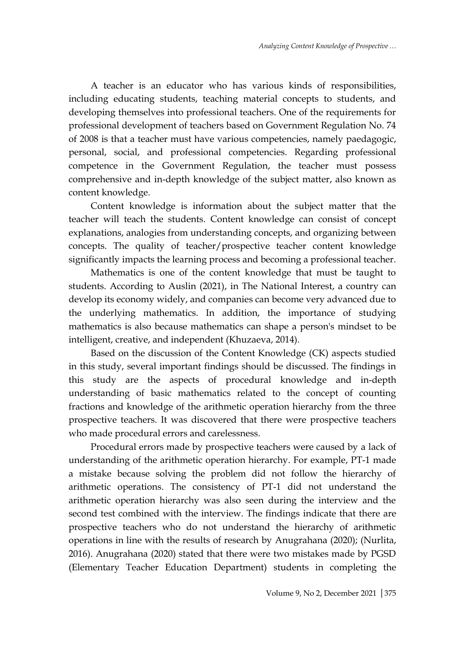A teacher is an educator who has various kinds of responsibilities, including educating students, teaching material concepts to students, and developing themselves into professional teachers. One of the requirements for professional development of teachers based on Government Regulation No. 74 of 2008 is that a teacher must have various competencies, namely paedagogic, personal, social, and professional competencies. Regarding professional competence in the Government Regulation, the teacher must possess comprehensive and in-depth knowledge of the subject matter, also known as content knowledge.

Content knowledge is information about the subject matter that the teacher will teach the students. Content knowledge can consist of concept explanations, analogies from understanding concepts, and organizing between concepts. The quality of teacher/prospective teacher content knowledge significantly impacts the learning process and becoming a professional teacher.

Mathematics is one of the content knowledge that must be taught to students. According to Auslin (2021), in The National Interest, a country can develop its economy widely, and companies can become very advanced due to the underlying mathematics. In addition, the importance of studying mathematics is also because mathematics can shape a person's mindset to be intelligent, creative, and independent (Khuzaeva, 2014).

Based on the discussion of the Content Knowledge (CK) aspects studied in this study, several important findings should be discussed. The findings in this study are the aspects of procedural knowledge and in-depth understanding of basic mathematics related to the concept of counting fractions and knowledge of the arithmetic operation hierarchy from the three prospective teachers. It was discovered that there were prospective teachers who made procedural errors and carelessness.

Procedural errors made by prospective teachers were caused by a lack of understanding of the arithmetic operation hierarchy. For example, PT-1 made a mistake because solving the problem did not follow the hierarchy of arithmetic operations. The consistency of PT-1 did not understand the arithmetic operation hierarchy was also seen during the interview and the second test combined with the interview. The findings indicate that there are prospective teachers who do not understand the hierarchy of arithmetic operations in line with the results of research by Anugrahana (2020); (Nurlita, 2016). Anugrahana (2020) stated that there were two mistakes made by PGSD (Elementary Teacher Education Department) students in completing the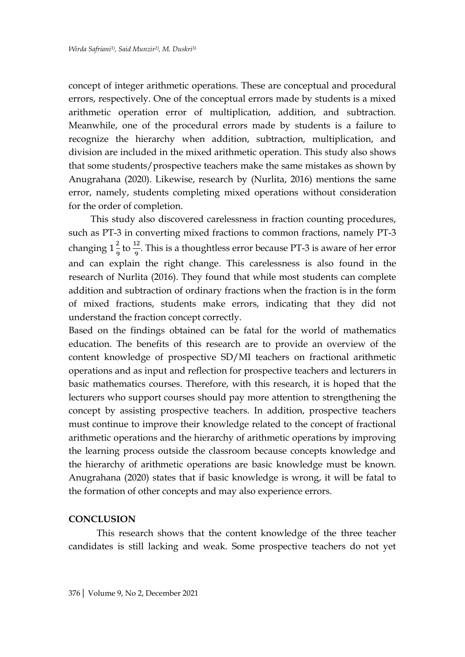concept of integer arithmetic operations. These are conceptual and procedural errors, respectively. One of the conceptual errors made by students is a mixed arithmetic operation error of multiplication, addition, and subtraction. Meanwhile, one of the procedural errors made by students is a failure to recognize the hierarchy when addition, subtraction, multiplication, and division are included in the mixed arithmetic operation. This study also shows that some students/prospective teachers make the same mistakes as shown by Anugrahana (2020). Likewise, research by (Nurlita, 2016) mentions the same error, namely, students completing mixed operations without consideration for the order of completion.

This study also discovered carelessness in fraction counting procedures, such as PT-3 in converting mixed fractions to common fractions, namely PT-3 changing  $1\frac{2}{9}$  $\frac{2}{9}$  to  $\frac{12}{9}$ . This is a thoughtless error because PT-3 is aware of her error and can explain the right change. This carelessness is also found in the research of Nurlita (2016). They found that while most students can complete addition and subtraction of ordinary fractions when the fraction is in the form of mixed fractions, students make errors, indicating that they did not understand the fraction concept correctly.

Based on the findings obtained can be fatal for the world of mathematics education. The benefits of this research are to provide an overview of the content knowledge of prospective SD/MI teachers on fractional arithmetic operations and as input and reflection for prospective teachers and lecturers in basic mathematics courses. Therefore, with this research, it is hoped that the lecturers who support courses should pay more attention to strengthening the concept by assisting prospective teachers. In addition, prospective teachers must continue to improve their knowledge related to the concept of fractional arithmetic operations and the hierarchy of arithmetic operations by improving the learning process outside the classroom because concepts knowledge and the hierarchy of arithmetic operations are basic knowledge must be known. Anugrahana (2020) states that if basic knowledge is wrong, it will be fatal to the formation of other concepts and may also experience errors.

#### **CONCLUSION**

This research shows that the content knowledge of the three teacher candidates is still lacking and weak. Some prospective teachers do not yet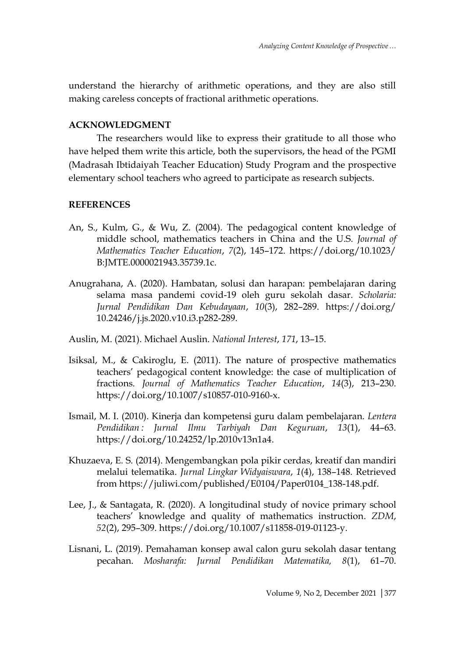understand the hierarchy of arithmetic operations, and they are also still making careless concepts of fractional arithmetic operations.

## **ACKNOWLEDGMENT**

The researchers would like to express their gratitude to all those who have helped them write this article, both the supervisors, the head of the PGMI (Madrasah Ibtidaiyah Teacher Education) Study Program and the prospective elementary school teachers who agreed to participate as research subjects.

# **REFERENCES**

- An, S., Kulm, G., & Wu, Z. (2004). The pedagogical content knowledge of middle school, mathematics teachers in China and the U.S. *Journal of Mathematics Teacher Education*, *7*(2), 145–172. https://doi.org/10.1023/ B:JMTE.0000021943.35739.1c.
- Anugrahana, A. (2020). Hambatan, solusi dan harapan: pembelajaran daring selama masa pandemi covid-19 oleh guru sekolah dasar. *Scholaria: Jurnal Pendidikan Dan Kebudayaan*, *10*(3), 282–289. https://doi.org/ 10.24246/j.js.2020.v10.i3.p282-289.
- Auslin, M. (2021). Michael Auslin. *National Interest*, *171*, 13–15.
- Isiksal, M., & Cakiroglu, E. (2011). The nature of prospective mathematics teachers' pedagogical content knowledge: the case of multiplication of fractions. *Journal of Mathematics Teacher Education*, *14*(3), 213–230. https://doi.org/10.1007/s10857-010-9160-x.
- Ismail, M. I. (2010). Kinerja dan kompetensi guru dalam pembelajaran. *Lentera Pendidikan : Jurnal Ilmu Tarbiyah Dan Keguruan*, *13*(1), 44–63. https://doi.org/10.24252/lp.2010v13n1a4.
- Khuzaeva, E. S. (2014). Mengembangkan pola pikir cerdas, kreatif dan mandiri melalui telematika. *Jurnal Lingkar Widyaiswara*, *1*(4), 138–148. Retrieved from https://juliwi.com/published/E0104/Paper0104\_138-148.pdf.
- Lee, J., & Santagata, R. (2020). A longitudinal study of novice primary school teachers' knowledge and quality of mathematics instruction. *ZDM*, *52*(2), 295–309. https://doi.org/10.1007/s11858-019-01123-y.
- Lisnani, L. (2019). Pemahaman konsep awal calon guru sekolah dasar tentang pecahan. *Mosharafa: Jurnal Pendidikan Matematika, 8*(1), 61–70.